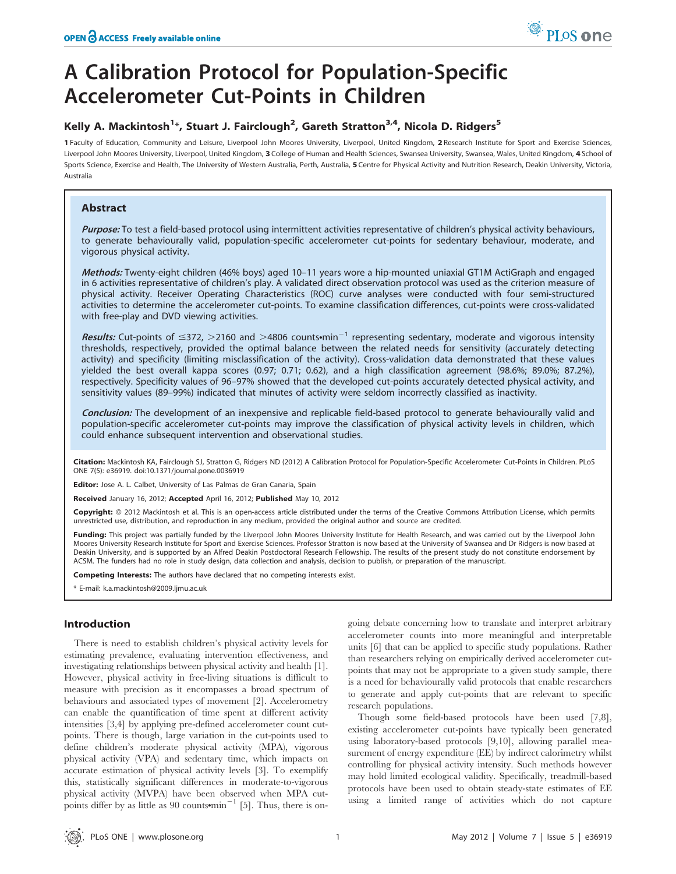# A Calibration Protocol for Population-Specific Accelerometer Cut-Points in Children

# Kelly A. Mackintosh<sup>1</sup>\*, Stuart J. Fairclough<sup>2</sup>, Gareth Stratton<sup>3,4</sup>, Nicola D. Ridgers<sup>5</sup>

1 Faculty of Education, Community and Leisure, Liverpool John Moores University, Liverpool, United Kingdom, 2 Research Institute for Sport and Exercise Sciences, Liverpool John Moores University, Liverpool, United Kingdom, 3 College of Human and Health Sciences, Swansea University, Swansea, Wales, United Kingdom, 4 School of Sports Science, Exercise and Health, The University of Western Australia, Perth, Australia, 5 Centre for Physical Activity and Nutrition Research, Deakin University, Victoria, Australia

# Abstract

Purpose: To test a field-based protocol using intermittent activities representative of children's physical activity behaviours, to generate behaviourally valid, population-specific accelerometer cut-points for sedentary behaviour, moderate, and vigorous physical activity.

Methods: Twenty-eight children (46% boys) aged 10–11 years wore a hip-mounted uniaxial GT1M ActiGraph and engaged in 6 activities representative of children's play. A validated direct observation protocol was used as the criterion measure of physical activity. Receiver Operating Characteristics (ROC) curve analyses were conducted with four semi-structured activities to determine the accelerometer cut-points. To examine classification differences, cut-points were cross-validated with free-play and DVD viewing activities.

Results: Cut-points of  $\leq$ 372,  $>$ 2160 and  $>$ 4806 counts $\cdot$ min<sup>-1</sup> representing sedentary, moderate and vigorous intensity thresholds, respectively, provided the optimal balance between the related needs for sensitivity (accurately detecting activity) and specificity (limiting misclassification of the activity). Cross-validation data demonstrated that these values yielded the best overall kappa scores (0.97; 0.71; 0.62), and a high classification agreement (98.6%; 89.0%; 87.2%), respectively. Specificity values of 96–97% showed that the developed cut-points accurately detected physical activity, and sensitivity values (89–99%) indicated that minutes of activity were seldom incorrectly classified as inactivity.

Conclusion: The development of an inexpensive and replicable field-based protocol to generate behaviourally valid and population-specific accelerometer cut-points may improve the classification of physical activity levels in children, which could enhance subsequent intervention and observational studies.

Citation: Mackintosh KA, Fairclough SJ, Stratton G, Ridgers ND (2012) A Calibration Protocol for Population-Specific Accelerometer Cut-Points in Children. PLoS ONE 7(5): e36919. doi:10.1371/journal.pone.0036919

Editor: Jose A. L. Calbet, University of Las Palmas de Gran Canaria, Spain

Received January 16, 2012; Accepted April 16, 2012; Published May 10, 2012

Copyright: @ 2012 Mackintosh et al. This is an open-access article distributed under the terms of the Creative Commons Attribution License, which permits unrestricted use, distribution, and reproduction in any medium, provided the original author and source are credited.

Funding: This project was partially funded by the Liverpool John Moores University Institute for Health Research, and was carried out by the Liverpool John Moores University Research Institute for Sport and Exercise Sciences. Professor Stratton is now based at the University of Swansea and Dr Ridgers is now based at Deakin University, and is supported by an Alfred Deakin Postdoctoral Research Fellowship. The results of the present study do not constitute endorsement by ACSM. The funders had no role in study design, data collection and analysis, decision to publish, or preparation of the manuscript.

Competing Interests: The authors have declared that no competing interests exist.

\* E-mail: k.a.mackintosh@2009.ljmu.ac.uk

# Introduction

There is need to establish children's physical activity levels for estimating prevalence, evaluating intervention effectiveness, and investigating relationships between physical activity and health [1]. However, physical activity in free-living situations is difficult to measure with precision as it encompasses a broad spectrum of behaviours and associated types of movement [2]. Accelerometry can enable the quantification of time spent at different activity intensities [3,4] by applying pre-defined accelerometer count cutpoints. There is though, large variation in the cut-points used to define children's moderate physical activity (MPA), vigorous physical activity (VPA) and sedentary time, which impacts on accurate estimation of physical activity levels [3]. To exemplify this, statistically significant differences in moderate-to-vigorous physical activity (MVPA) have been observed when MPA cutpoints differ by as little as 90 counts $\text{min}^{-1}$  [5]. Thus, there is ongoing debate concerning how to translate and interpret arbitrary accelerometer counts into more meaningful and interpretable units [6] that can be applied to specific study populations. Rather than researchers relying on empirically derived accelerometer cutpoints that may not be appropriate to a given study sample, there is a need for behaviourally valid protocols that enable researchers to generate and apply cut-points that are relevant to specific research populations.

Though some field-based protocols have been used [7,8], existing accelerometer cut-points have typically been generated using laboratory-based protocols [9,10], allowing parallel measurement of energy expenditure (EE) by indirect calorimetry whilst controlling for physical activity intensity. Such methods however may hold limited ecological validity. Specifically, treadmill-based protocols have been used to obtain steady-state estimates of EE using a limited range of activities which do not capture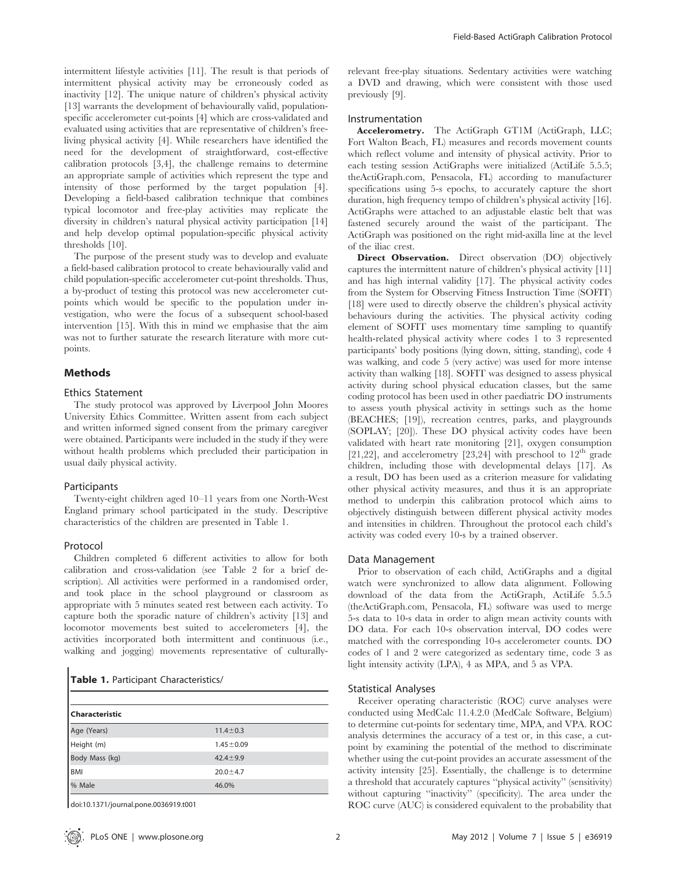intermittent lifestyle activities [11]. The result is that periods of intermittent physical activity may be erroneously coded as inactivity [12]. The unique nature of children's physical activity [13] warrants the development of behaviourally valid, populationspecific accelerometer cut-points [4] which are cross-validated and evaluated using activities that are representative of children's freeliving physical activity [4]. While researchers have identified the need for the development of straightforward, cost-effective calibration protocols [3,4], the challenge remains to determine an appropriate sample of activities which represent the type and intensity of those performed by the target population [4]. Developing a field-based calibration technique that combines typical locomotor and free-play activities may replicate the diversity in children's natural physical activity participation [14] and help develop optimal population-specific physical activity thresholds [10].

The purpose of the present study was to develop and evaluate a field-based calibration protocol to create behaviourally valid and child population-specific accelerometer cut-point thresholds. Thus, a by-product of testing this protocol was new accelerometer cutpoints which would be specific to the population under investigation, who were the focus of a subsequent school-based intervention [15]. With this in mind we emphasise that the aim was not to further saturate the research literature with more cutpoints.

# Methods

## Ethics Statement

The study protocol was approved by Liverpool John Moores University Ethics Committee. Written assent from each subject and written informed signed consent from the primary caregiver were obtained. Participants were included in the study if they were without health problems which precluded their participation in usual daily physical activity.

## Participants

Twenty-eight children aged 10–11 years from one North-West England primary school participated in the study. Descriptive characteristics of the children are presented in Table 1.

# Protocol

Children completed 6 different activities to allow for both calibration and cross-validation (see Table 2 for a brief description). All activities were performed in a randomised order, and took place in the school playground or classroom as appropriate with 5 minutes seated rest between each activity. To capture both the sporadic nature of children's activity [13] and locomotor movements best suited to accelerometers [4], the activities incorporated both intermittent and continuous (i.e., walking and jogging) movements representative of culturally-

|  |  |  | Table 1. Participant Characteristics/ |
|--|--|--|---------------------------------------|
|--|--|--|---------------------------------------|

| <b>Characteristic</b> |                 |  |  |  |
|-----------------------|-----------------|--|--|--|
| Age (Years)           | $11.4 \pm 0.3$  |  |  |  |
| Height (m)            | $1.45 \pm 0.09$ |  |  |  |
| Body Mass (kg)        | $42.4 \pm 9.9$  |  |  |  |
| <b>BMI</b>            | $20.0 + 4.7$    |  |  |  |
| % Male                | 46.0%           |  |  |  |

doi:10.1371/journal.pone.0036919.t001

relevant free-play situations. Sedentary activities were watching a DVD and drawing, which were consistent with those used previously [9].

# Instrumentation

Accelerometry. The ActiGraph GT1M (ActiGraph, LLC; Fort Walton Beach, FL) measures and records movement counts which reflect volume and intensity of physical activity. Prior to each testing session ActiGraphs were initialized (ActiLife 5.5.5; theActiGraph.com, Pensacola, FL) according to manufacturer specifications using 5-s epochs, to accurately capture the short duration, high frequency tempo of children's physical activity [16]. ActiGraphs were attached to an adjustable elastic belt that was fastened securely around the waist of the participant. The ActiGraph was positioned on the right mid-axilla line at the level of the iliac crest.

Direct Observation. Direct observation (DO) objectively captures the intermittent nature of children's physical activity [11] and has high internal validity [17]. The physical activity codes from the System for Observing Fitness Instruction Time (SOFIT) [18] were used to directly observe the children's physical activity behaviours during the activities. The physical activity coding element of SOFIT uses momentary time sampling to quantify health-related physical activity where codes 1 to 3 represented participants' body positions (lying down, sitting, standing), code 4 was walking, and code 5 (very active) was used for more intense activity than walking [18]. SOFIT was designed to assess physical activity during school physical education classes, but the same coding protocol has been used in other paediatric DO instruments to assess youth physical activity in settings such as the home (BEACHES; [19]), recreation centres, parks, and playgrounds (SOPLAY; [20]). These DO physical activity codes have been validated with heart rate monitoring [21], oxygen consumption [21,22], and accelerometry [23,24] with preschool to  $12<sup>th</sup>$  grade children, including those with developmental delays [17]. As a result, DO has been used as a criterion measure for validating other physical activity measures, and thus it is an appropriate method to underpin this calibration protocol which aims to objectively distinguish between different physical activity modes and intensities in children. Throughout the protocol each child's activity was coded every 10-s by a trained observer.

#### Data Management

Prior to observation of each child, ActiGraphs and a digital watch were synchronized to allow data alignment. Following download of the data from the ActiGraph, ActiLife 5.5.5 (theActiGraph.com, Pensacola, FL) software was used to merge 5-s data to 10-s data in order to align mean activity counts with DO data. For each 10-s observation interval, DO codes were matched with the corresponding 10-s accelerometer counts. DO codes of 1 and 2 were categorized as sedentary time, code 3 as light intensity activity (LPA), 4 as MPA, and 5 as VPA.

#### Statistical Analyses

Receiver operating characteristic (ROC) curve analyses were conducted using MedCalc 11.4.2.0 (MedCalc Software, Belgium) to determine cut-points for sedentary time, MPA, and VPA. ROC analysis determines the accuracy of a test or, in this case, a cutpoint by examining the potential of the method to discriminate whether using the cut-point provides an accurate assessment of the activity intensity [25]. Essentially, the challenge is to determine a threshold that accurately captures ''physical activity'' (sensitivity) without capturing "inactivity" (specificity). The area under the ROC curve (AUC) is considered equivalent to the probability that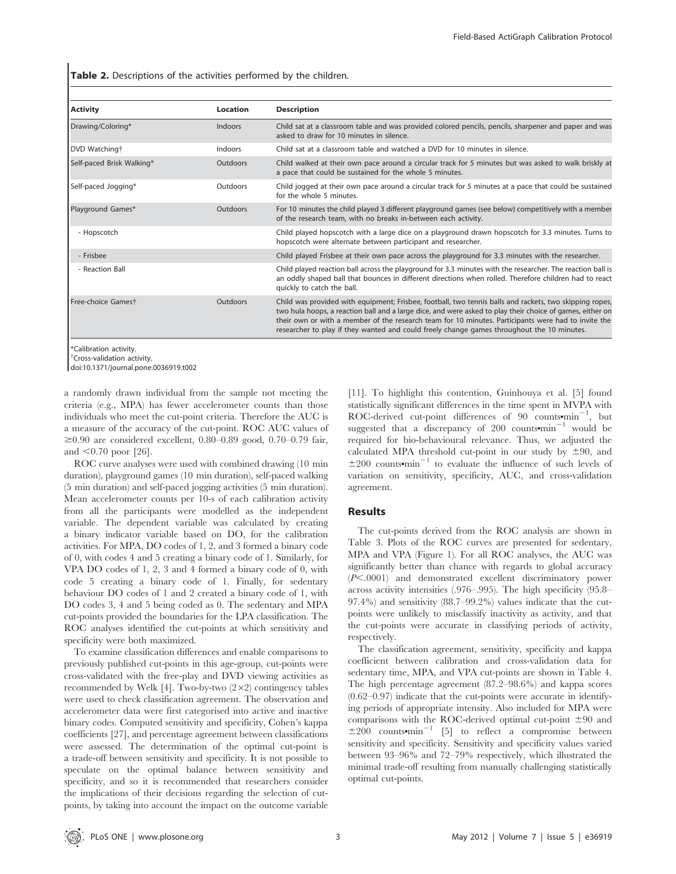Table 2. Descriptions of the activities performed by the children.

| <b>Activity</b>           | Location | <b>Description</b>                                                                                                                                                                                                                                                                                                                                                                                                        |
|---------------------------|----------|---------------------------------------------------------------------------------------------------------------------------------------------------------------------------------------------------------------------------------------------------------------------------------------------------------------------------------------------------------------------------------------------------------------------------|
| Drawing/Coloring*         | Indoors  | Child sat at a classroom table and was provided colored pencils, pencils, sharpener and paper and was<br>asked to draw for 10 minutes in silence.                                                                                                                                                                                                                                                                         |
| DVD Watching†             | Indoors  | Child sat at a classroom table and watched a DVD for 10 minutes in silence.                                                                                                                                                                                                                                                                                                                                               |
| Self-paced Brisk Walking* | Outdoors | Child walked at their own pace around a circular track for 5 minutes but was asked to walk briskly at<br>a pace that could be sustained for the whole 5 minutes.                                                                                                                                                                                                                                                          |
| Self-paced Jogging*       | Outdoors | Child jogged at their own pace around a circular track for 5 minutes at a pace that could be sustained<br>for the whole 5 minutes.                                                                                                                                                                                                                                                                                        |
| Playground Games*         | Outdoors | For 10 minutes the child played 3 different playground games (see below) competitively with a member<br>of the research team, with no breaks in-between each activity.                                                                                                                                                                                                                                                    |
| - Hopscotch               |          | Child played hopscotch with a large dice on a playground drawn hopscotch for 3.3 minutes. Turns to<br>hopscotch were alternate between participant and researcher.                                                                                                                                                                                                                                                        |
| - Frisbee                 |          | Child played Frisbee at their own pace across the playground for 3.3 minutes with the researcher.                                                                                                                                                                                                                                                                                                                         |
| - Reaction Ball           |          | Child played reaction ball across the playground for 3.3 minutes with the researcher. The reaction ball is<br>an oddly shaped ball that bounces in different directions when rolled. Therefore children had to react<br>quickly to catch the ball.                                                                                                                                                                        |
| Free-choice Gamest        | Outdoors | Child was provided with equipment; Frisbee, football, two tennis balls and rackets, two skipping ropes,<br>two hula hoops, a reaction ball and a large dice, and were asked to play their choice of games, either on<br>their own or with a member of the research team for 10 minutes. Participants were had to invite the<br>researcher to play if they wanted and could freely change games throughout the 10 minutes. |

\*Calibration activity.

{ Cross-validation activity.

doi:10.1371/journal.pone.0036919.t002

a randomly drawn individual from the sample not meeting the criteria (e.g., MPA) has fewer accelerometer counts than those individuals who meet the cut-point criteria. Therefore the AUC is a measure of the accuracy of the cut-point. ROC AUC values of  $\geq 0.90$  are considered excellent, 0.80–0.89 good, 0.70–0.79 fair, and  $< 0.70$  poor [26].

ROC curve analyses were used with combined drawing (10 min duration), playground games (10 min duration), self-paced walking (5 min duration) and self-paced jogging activities (5 min duration). Mean accelerometer counts per 10-s of each calibration activity from all the participants were modelled as the independent variable. The dependent variable was calculated by creating a binary indicator variable based on DO, for the calibration activities. For MPA, DO codes of 1, 2, and 3 formed a binary code of 0, with codes 4 and 5 creating a binary code of 1. Similarly, for VPA DO codes of 1, 2, 3 and 4 formed a binary code of 0, with code 5 creating a binary code of 1. Finally, for sedentary behaviour DO codes of 1 and 2 created a binary code of 1, with DO codes 3, 4 and 5 being coded as 0. The sedentary and MPA cut-points provided the boundaries for the LPA classification. The ROC analyses identified the cut-points at which sensitivity and specificity were both maximized.

To examine classification differences and enable comparisons to previously published cut-points in this age-group, cut-points were cross-validated with the free-play and DVD viewing activities as recommended by Welk [4]. Two-by-two  $(2\times2)$  contingency tables were used to check classification agreement. The observation and accelerometer data were first categorised into active and inactive binary codes. Computed sensitivity and specificity, Cohen's kappa coefficients [27], and percentage agreement between classifications were assessed. The determination of the optimal cut-point is a trade-off between sensitivity and specificity. It is not possible to speculate on the optimal balance between sensitivity and specificity, and so it is recommended that researchers consider the implications of their decisions regarding the selection of cutpoints, by taking into account the impact on the outcome variable [11]. To highlight this contention, Guinhouya et al. [5] found statistically significant differences in the time spent in MVPA with  $ROC$ -derived cut-point differences of 90 counts $\text{min}^{-1}$ , but suggested that a discrepancy of 200 counts $\text{min}^{-1}$  would be required for bio-behavioural relevance. Thus, we adjusted the calculated MPA threshold cut-point in our study by  $\pm 90$ , and  $\pm 200$  counts<sup>omin</sub><sup>-1</sup> to evaluate the influence of such levels of</sup> variation on sensitivity, specificity, AUC, and cross-validation agreement.

#### Results

The cut-points derived from the ROC analysis are shown in Table 3. Plots of the ROC curves are presented for sedentary, MPA and VPA (Figure 1). For all ROC analyses, the AUC was significantly better than chance with regards to global accuracy (*P*<.0001) and demonstrated excellent discriminatory power across activity intensities (.976–.995). The high specificity (95.8– 97.4%) and sensitivity (88.7–99.2%) values indicate that the cutpoints were unlikely to misclassify inactivity as activity, and that the cut-points were accurate in classifying periods of activity, respectively.

The classification agreement, sensitivity, specificity and kappa coefficient between calibration and cross-validation data for sedentary time, MPA, and VPA cut-points are shown in Table 4. The high percentage agreement (87.2–98.6%) and kappa scores  $(0.62-0.97)$  indicate that the cut-points were accurate in identifying periods of appropriate intensity. Also included for MPA were comparisons with the ROC-derived optimal cut-point  $\pm 90$  and  $\pm 200$  counts•min<sup>-1</sup> [5] to reflect a compromise between sensitivity and specificity. Sensitivity and specificity values varied between 93–96% and 72–79% respectively, which illustrated the minimal trade-off resulting from manually challenging statistically optimal cut-points.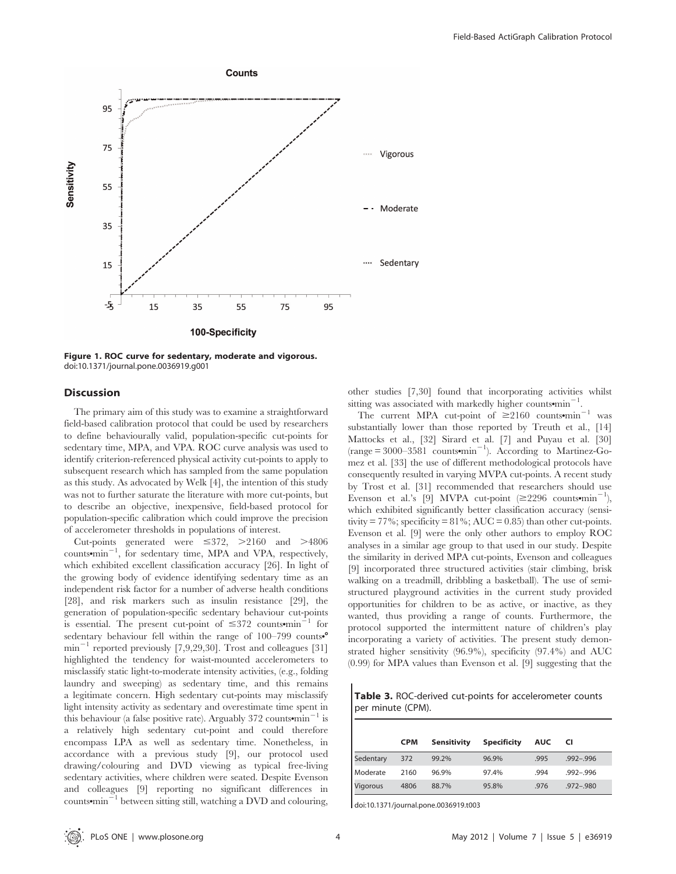

Figure 1. ROC curve for sedentary, moderate and vigorous. doi:10.1371/journal.pone.0036919.g001

# **Discussion**

The primary aim of this study was to examine a straightforward field-based calibration protocol that could be used by researchers to define behaviourally valid, population-specific cut-points for sedentary time, MPA, and VPA. ROC curve analysis was used to identify criterion-referenced physical activity cut-points to apply to subsequent research which has sampled from the same population as this study. As advocated by Welk [4], the intention of this study was not to further saturate the literature with more cut-points, but to describe an objective, inexpensive, field-based protocol for population-specific calibration which could improve the precision of accelerometer thresholds in populations of interest.

Cut-points generated were  $\leq 372$ ,  $>2160$  and  $>4806$ counts<sup>omin<sup>-1</sup>, for sedentary time, MPA and VPA, respectively,</sup> which exhibited excellent classification accuracy [26]. In light of the growing body of evidence identifying sedentary time as an independent risk factor for a number of adverse health conditions [28], and risk markers such as insulin resistance [29], the generation of population-specific sedentary behaviour cut-points is essential. The present cut-point of  $\leq 372$  counts $\text{min}^{-1}$  for sedentary behaviour fell within the range of  $100-799$  counts.  $min^{-1}$  reported previously [7,9,29,30]. Trost and colleagues [31] highlighted the tendency for waist-mounted accelerometers to misclassify static light-to-moderate intensity activities, (e.g., folding laundry and sweeping) as sedentary time, and this remains a legitimate concern. High sedentary cut-points may misclassify light intensity activity as sedentary and overestimate time spent in this behaviour (a false positive rate). Arguably 372 counts $\text{min}^{-1}$  is a relatively high sedentary cut-point and could therefore encompass LPA as well as sedentary time. Nonetheless, in accordance with a previous study [9], our protocol used drawing/colouring and DVD viewing as typical free-living sedentary activities, where children were seated. Despite Evenson and colleagues [9] reporting no significant differences in counts $\text{min}^{-1}$  between sitting still, watching a DVD and colouring, other studies [7,30] found that incorporating activities whilst sitting was associated with markedly higher counts $\text{min}^{-1}$ .

The current MPA cut-point of  $\geq 2160$  counts•min<sup>-1</sup> was substantially lower than those reported by Treuth et al., [14] Mattocks et al., [32] Sirard et al. [7] and Puyau et al. [30]  $(\text{range} = 3000 - 3581 \text{ counts-min}^{-1})$ . According to Martinez-Gomez et al. [33] the use of different methodological protocols have consequently resulted in varying MVPA cut-points. A recent study by Trost et al. [31] recommended that researchers should use Evenson et al.'s [9] MVPA cut-point ( $\geq$ 2296 counts•min<sup>-1</sup>), which exhibited significantly better classification accuracy (sensitivity = 77%; specificity =  $81\%$ ; AUC = 0.85) than other cut-points. Evenson et al. [9] were the only other authors to employ ROC analyses in a similar age group to that used in our study. Despite the similarity in derived MPA cut-points, Evenson and colleagues [9] incorporated three structured activities (stair climbing, brisk walking on a treadmill, dribbling a basketball). The use of semistructured playground activities in the current study provided opportunities for children to be as active, or inactive, as they wanted, thus providing a range of counts. Furthermore, the protocol supported the intermittent nature of children's play incorporating a variety of activities. The present study demonstrated higher sensitivity (96.9%), specificity (97.4%) and AUC (0.99) for MPA values than Evenson et al. [9] suggesting that the

Table 3. ROC-derived cut-points for accelerometer counts per minute (CPM).

|           | <b>CPM</b> | Sensitivity | <b>Specificity</b> | <b>AUC</b> | CI            |
|-----------|------------|-------------|--------------------|------------|---------------|
| Sedentary | 372        | 99.2%       | 96.9%              | .995       | $.992 - .996$ |
| Moderate  | 2160       | 96.9%       | 97.4%              | .994       | $.992 - .996$ |
| Vigorous  | 4806       | 88.7%       | 95.8%              | .976       | $.972 - .980$ |

doi:10.1371/journal.pone.0036919.t003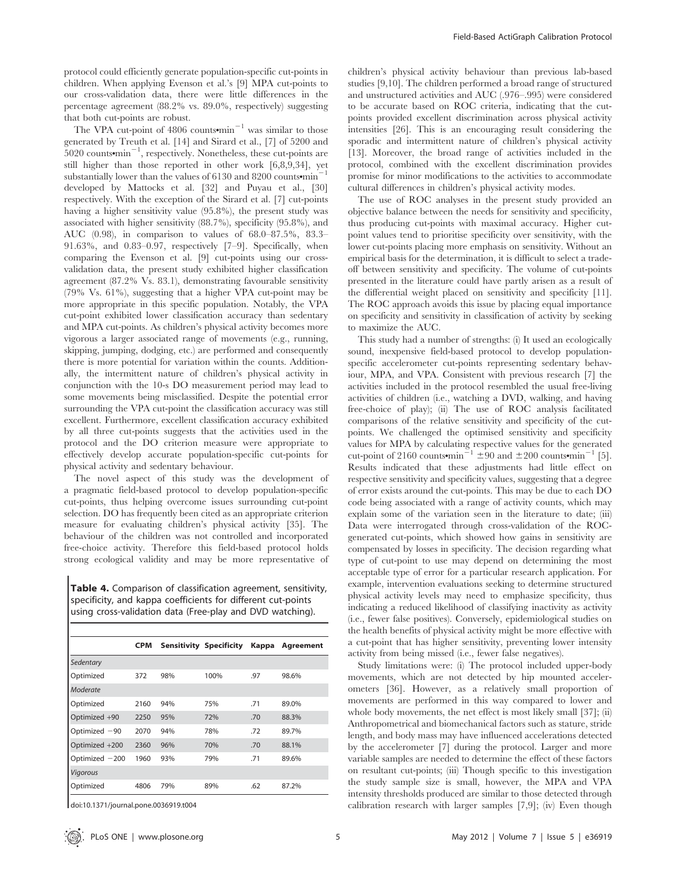protocol could efficiently generate population-specific cut-points in children. When applying Evenson et al.'s [9] MPA cut-points to our cross-validation data, there were little differences in the percentage agreement (88.2% vs. 89.0%, respectively) suggesting that both cut-points are robust.

The VPA cut-point of 4806 counts $\text{min}^{-1}$  was similar to those generated by Treuth et al. [14] and Sirard et al., [7] of 5200 and  $5020$  counts $\cdot$ min<sup>-1</sup>, respectively. Nonetheless, these cut-points are still higher than those reported in other work [6,8,9,34], yet substantially lower than the values of  $6130$  and  $8200$  counts•min<sup>-</sup> developed by Mattocks et al. [32] and Puyau et al., [30] respectively. With the exception of the Sirard et al. [7] cut-points having a higher sensitivity value (95.8%), the present study was associated with higher sensitivity (88.7%), specificity (95.8%), and AUC (0.98), in comparison to values of 68.0–87.5%, 83.3– 91.63%, and 0.83–0.97, respectively [7–9]. Specifically, when comparing the Evenson et al. [9] cut-points using our crossvalidation data, the present study exhibited higher classification agreement (87.2% Vs. 83.1), demonstrating favourable sensitivity (79% Vs. 61%), suggesting that a higher VPA cut-point may be more appropriate in this specific population. Notably, the VPA cut-point exhibited lower classification accuracy than sedentary and MPA cut-points. As children's physical activity becomes more vigorous a larger associated range of movements (e.g., running, skipping, jumping, dodging, etc.) are performed and consequently there is more potential for variation within the counts. Additionally, the intermittent nature of children's physical activity in conjunction with the 10-s DO measurement period may lead to some movements being misclassified. Despite the potential error surrounding the VPA cut-point the classification accuracy was still excellent. Furthermore, excellent classification accuracy exhibited by all three cut-points suggests that the activities used in the protocol and the DO criterion measure were appropriate to effectively develop accurate population-specific cut-points for physical activity and sedentary behaviour.

The novel aspect of this study was the development of a pragmatic field-based protocol to develop population-specific cut-points, thus helping overcome issues surrounding cut-point selection. DO has frequently been cited as an appropriate criterion measure for evaluating children's physical activity [35]. The behaviour of the children was not controlled and incorporated free-choice activity. Therefore this field-based protocol holds strong ecological validity and may be more representative of

Table 4. Comparison of classification agreement, sensitivity, specificity, and kappa coefficients for different cut-points using cross-validation data (Free-play and DVD watching).

|                  | <b>CPM</b> |     | <b>Sensitivity Specificity</b> | Kappa | Agreement |
|------------------|------------|-----|--------------------------------|-------|-----------|
| Sedentary        |            |     |                                |       |           |
| Optimized        | 372        | 98% | 100%                           | .97   | 98.6%     |
| Moderate         |            |     |                                |       |           |
| Optimized        | 2160       | 94% | 75%                            | .71   | 89.0%     |
| Optimized +90    | 2250       | 95% | 72%                            | .70   | 88.3%     |
| Optimized -90    | 2070       | 94% | 78%                            | .72   | 89.7%     |
| Optimized +200   | 2360       | 96% | 70%                            | .70   | 88.1%     |
| Optimized $-200$ | 1960       | 93% | 79%                            | .71   | 89.6%     |
| Vigorous         |            |     |                                |       |           |
| Optimized        | 4806       | 79% | 89%                            | .62   | 87.2%     |

doi:10.1371/journal.pone.0036919.t004

children's physical activity behaviour than previous lab-based studies [9,10]. The children performed a broad range of structured and unstructured activities and AUC (.976–.995) were considered to be accurate based on ROC criteria, indicating that the cutpoints provided excellent discrimination across physical activity intensities [26]. This is an encouraging result considering the sporadic and intermittent nature of children's physical activity [13]. Moreover, the broad range of activities included in the protocol, combined with the excellent discrimination provides promise for minor modifications to the activities to accommodate cultural differences in children's physical activity modes.

The use of ROC analyses in the present study provided an objective balance between the needs for sensitivity and specificity, thus producing cut-points with maximal accuracy. Higher cutpoint values tend to prioritise specificity over sensitivity, with the lower cut-points placing more emphasis on sensitivity. Without an empirical basis for the determination, it is difficult to select a tradeoff between sensitivity and specificity. The volume of cut-points presented in the literature could have partly arisen as a result of the differential weight placed on sensitivity and specificity [11]. The ROC approach avoids this issue by placing equal importance on specificity and sensitivity in classification of activity by seeking to maximize the AUC.

This study had a number of strengths: (i) It used an ecologically sound, inexpensive field-based protocol to develop populationspecific accelerometer cut-points representing sedentary behaviour, MPA, and VPA. Consistent with previous research [7] the activities included in the protocol resembled the usual free-living activities of children (i.e., watching a DVD, walking, and having free-choice of play); (ii) The use of ROC analysis facilitated comparisons of the relative sensitivity and specificity of the cutpoints. We challenged the optimised sensitivity and specificity values for MPA by calculating respective values for the generated cut-point of 2160 counts $\text{min}^{-1} \pm 90$  and  $\pm 200$  counts $\text{min}^{-1}$  [5]. Results indicated that these adjustments had little effect on respective sensitivity and specificity values, suggesting that a degree of error exists around the cut-points. This may be due to each DO code being associated with a range of activity counts, which may explain some of the variation seen in the literature to date; (iii) Data were interrogated through cross-validation of the ROCgenerated cut-points, which showed how gains in sensitivity are compensated by losses in specificity. The decision regarding what type of cut-point to use may depend on determining the most acceptable type of error for a particular research application. For example, intervention evaluations seeking to determine structured physical activity levels may need to emphasize specificity, thus indicating a reduced likelihood of classifying inactivity as activity (i.e., fewer false positives). Conversely, epidemiological studies on the health benefits of physical activity might be more effective with a cut-point that has higher sensitivity, preventing lower intensity activity from being missed (i.e., fewer false negatives).

Study limitations were: (i) The protocol included upper-body movements, which are not detected by hip mounted accelerometers [36]. However, as a relatively small proportion of movements are performed in this way compared to lower and whole body movements, the net effect is most likely small [37]; (ii) Anthropometrical and biomechanical factors such as stature, stride length, and body mass may have influenced accelerations detected by the accelerometer [7] during the protocol. Larger and more variable samples are needed to determine the effect of these factors on resultant cut-points; (iii) Though specific to this investigation the study sample size is small, however, the MPA and VPA intensity thresholds produced are similar to those detected through calibration research with larger samples [7,9]; (iv) Even though